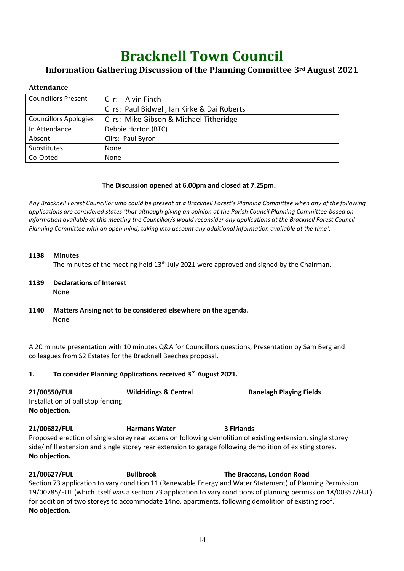# **Bracknell Town Council**

# **Information Gathering Discussion of the Planning Committee 3rd August 2021**

## **Attendance**

| <b>Councillors Present</b>   | Cllr: Alvin Finch                            |
|------------------------------|----------------------------------------------|
|                              | Cllrs: Paul Bidwell, Ian Kirke & Dai Roberts |
| <b>Councillors Apologies</b> | Cllrs: Mike Gibson & Michael Titheridge      |
| In Attendance                | Debbie Horton (BTC)                          |
| Absent                       | Cllrs: Paul Byron                            |
| Substitutes                  | None                                         |
| Co-Opted                     | None                                         |

### **The Discussion opened at 6.00pm and closed at 7.25pm.**

*Any Bracknell Forest Councillor who could be present at a Bracknell Forest's Planning Committee when any of the following applications are considered states 'that although giving an opinion at the Parish Council Planning Committee based on information available at this meeting the Councillor/s would reconsider any applications at the Bracknell Forest Council Planning Committee with an open mind, taking into account any additional information available at the time'.*

#### **1138 Minutes**

The minutes of the meeting held  $13<sup>th</sup>$  July 2021 were approved and signed by the Chairman.

#### **1139 Declarations of Interest** None

**1140 Matters Arising not to be considered elsewhere on the agenda.** None

A 20 minute presentation with 10 minutes Q&A for Councillors questions, Presentation by Sam Berg and colleagues from S2 Estates for the Bracknell Beeches proposal.

## **1. To consider Planning Applications received 3 rd August 2021.**

| 21/00550/FUL                       | <b>Wildridings &amp; Central</b> | <b>Ranelagh Playing Fields</b> |
|------------------------------------|----------------------------------|--------------------------------|
| Installation of ball stop fencing. |                                  |                                |
| No objection.                      |                                  |                                |

**21/00682/FUL Harmans Water 3 Firlands** Proposed erection of single storey rear extension following demolition of existing extension, single storey side/infill extension and single storey rear extension to garage following demolition of existing stores. **No objection.**

**21/00627/FUL Bullbrook The Braccans, London Road** Section 73 application to vary condition 11 (Renewable Energy and Water Statement) of Planning Permission 19/00785/FUL (which itself was a section 73 application to vary conditions of planning permission 18/00357/FUL) for addition of two storeys to accommodate 14no. apartments. following demolition of existing roof. **No objection.**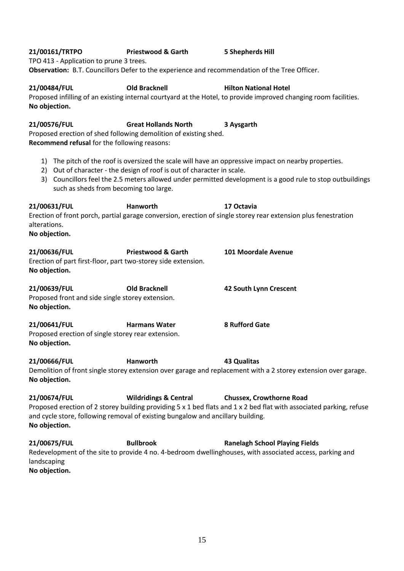| 21/00576/FUL  | <b>Great Hollands North</b>                                            | 3 Aysgarth                                                                                                          |
|---------------|------------------------------------------------------------------------|---------------------------------------------------------------------------------------------------------------------|
|               | Proposed erection of shed following demolition of existing shed.       |                                                                                                                     |
|               | Recommend refusal for the following reasons:                           |                                                                                                                     |
|               |                                                                        |                                                                                                                     |
|               |                                                                        | 1) The pitch of the roof is oversized the scale will have an oppressive impact on nearby properties.                |
|               | 2) Out of character - the design of roof is out of character in scale. |                                                                                                                     |
|               |                                                                        | 3) Councillors feel the 2.5 meters allowed under permitted development is a good rule to stop outbuildings          |
|               | such as sheds from becoming too large.                                 |                                                                                                                     |
|               |                                                                        |                                                                                                                     |
| 21/00631/FUL  | Hanworth                                                               | 17 Octavia                                                                                                          |
|               |                                                                        | Erection of front porch, partial garage conversion, erection of single storey rear extension plus fenestration      |
| alterations.  |                                                                        |                                                                                                                     |
| No objection. |                                                                        |                                                                                                                     |
|               |                                                                        |                                                                                                                     |
| 21/00636/FUL  | <b>Priestwood &amp; Garth</b>                                          | 101 Moordale Avenue                                                                                                 |
|               | Erection of part first-floor, part two-storey side extension.          |                                                                                                                     |
| No objection. |                                                                        |                                                                                                                     |
| 21/00639/FUL  | <b>Old Bracknell</b>                                                   | 42 South Lynn Crescent                                                                                              |
|               | Proposed front and side single storey extension.                       |                                                                                                                     |
| No objection. |                                                                        |                                                                                                                     |
| 21/00641/FUL  | <b>Harmans Water</b>                                                   | <b>8 Rufford Gate</b>                                                                                               |
|               | Proposed erection of single storey rear extension.                     |                                                                                                                     |
| No objection. |                                                                        |                                                                                                                     |
|               |                                                                        |                                                                                                                     |
| 21/00666/FUL  | Hanworth                                                               | <b>43 Qualitas</b>                                                                                                  |
|               |                                                                        | Demolition of front single storey extension over garage and replacement with a 2 storey extension over garage.      |
| No objection. |                                                                        |                                                                                                                     |
|               |                                                                        |                                                                                                                     |
| 21/00674/FUL  | <b>Wildridings &amp; Central</b>                                       | <b>Chussex, Crowthorne Road</b>                                                                                     |
|               |                                                                        | Proposed erection of 2 storey building providing 5 x 1 bed flats and 1 x 2 bed flat with associated parking, refuse |

**21/00675/FUL Bullbrook Ranelagh School Playing Fields** Redevelopment of the site to provide 4 no. 4-bedroom dwellinghouses, with associated access, parking and landscaping **No objection.**

and cycle store, following removal of existing bungalow and ancillary building.

# **21/00161/TRTPO Priestwood & Garth 5 Shepherds Hill**

TPO 413 - Application to prune 3 trees.

**Observation:** B.T. Councillors Defer to the experience and recommendation of the Tree Officer.

**21/00484/FUL Old Bracknell Hilton National Hotel** Proposed infilling of an existing internal courtyard at the Hotel, to provide improved changing room facilities. **No objection.**

**No objection.**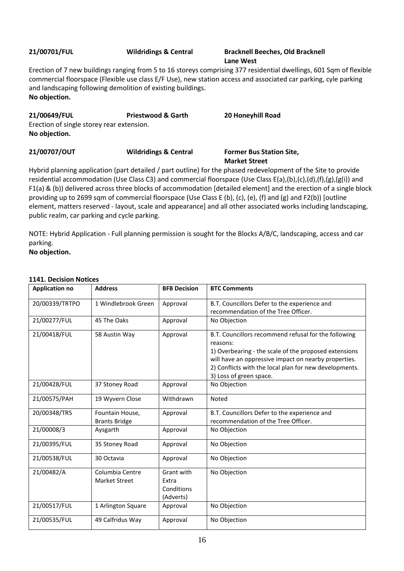## **21/00701/FUL Wildridings & Central Bracknell Beeches, Old Bracknell**

# **Lane West**

Erection of 7 new buildings ranging from 5 to 16 storeys comprising 377 residential dwellings, 601 Sqm of flexible commercial floorspace (Flexible use class E/F Use), new station access and associated car parking, cyle parking and landscaping following demolition of existing buildings. **No objection.**

| 21/00649/FUL                              | <b>Priestwood &amp; Garth</b>    | 20 Honeyhill Road                                       |  |  |
|-------------------------------------------|----------------------------------|---------------------------------------------------------|--|--|
| Erection of single storey rear extension. |                                  |                                                         |  |  |
| No objection.                             |                                  |                                                         |  |  |
| 21/00707/OUT                              | <b>Wildridings &amp; Central</b> | <b>Former Bus Station Site,</b><br><b>Market Street</b> |  |  |

Hybrid planning application (part detailed / part outline) for the phased redevelopment of the Site to provide residential accommodation (Use Class C3) and commercial floorspace (Use Class E(a),(b),(c),(d),(f),(g),(g(i)) and F1(a) & (b)) delivered across three blocks of accommodation [detailed element] and the erection of a single block providing up to 2699 sqm of commercial floorspace (Use Class E (b), (c), (e), (f) and (g) and F2(b)) [outline element, matters reserved - layout, scale and appearance] and all other associated works including landscaping, public realm, car parking and cycle parking.

NOTE: Hybrid Application - Full planning permission is sought for the Blocks A/B/C, landscaping, access and car parking.

**No objection.**

### **1141. Decision Notices**

| <b>Application no</b> | <b>Address</b>                          | <b>BFB Decision</b>                            | <b>BTC Comments</b>                                                                                                                                                                                                                                                    |
|-----------------------|-----------------------------------------|------------------------------------------------|------------------------------------------------------------------------------------------------------------------------------------------------------------------------------------------------------------------------------------------------------------------------|
| 20/00339/TRTPO        | 1 Windlebrook Green                     | Approval                                       | B.T. Councillors Defer to the experience and<br>recommendation of the Tree Officer.                                                                                                                                                                                    |
| 21/00277/FUL          | 45 The Oaks                             | Approval                                       | No Objection                                                                                                                                                                                                                                                           |
| 21/00418/FUL          | 58 Austin Way                           | Approval                                       | B.T. Councillors recommend refusal for the following<br>reasons:<br>1) Overbearing - the scale of the proposed extensions<br>will have an oppressive impact on nearby properties.<br>2) Conflicts with the local plan for new developments.<br>3) Loss of green space. |
| 21/00428/FUL          | 37 Stoney Road                          | Approval                                       | No Objection                                                                                                                                                                                                                                                           |
| 21/00575/PAH          | 19 Wyvern Close                         | Withdrawn                                      | Noted                                                                                                                                                                                                                                                                  |
| 20/00348/TR5          | Fountain House,<br><b>Brants Bridge</b> | Approval                                       | B.T. Councillors Defer to the experience and<br>recommendation of the Tree Officer.                                                                                                                                                                                    |
| 21/00008/3            | Aysgarth                                | Approval                                       | No Objection                                                                                                                                                                                                                                                           |
| 21/00395/FUL          | 35 Stoney Road                          | Approval                                       | No Objection                                                                                                                                                                                                                                                           |
| 21/00538/FUL          | 30 Octavia                              | Approval                                       | No Objection                                                                                                                                                                                                                                                           |
| 21/00482/A            | Columbia Centre<br><b>Market Street</b> | Grant with<br>Extra<br>Conditions<br>(Adverts) | No Objection                                                                                                                                                                                                                                                           |
| 21/00517/FUL          | 1 Arlington Square                      | Approval                                       | No Objection                                                                                                                                                                                                                                                           |
| 21/00535/FUL          | 49 Calfridus Way                        | Approval                                       | No Objection                                                                                                                                                                                                                                                           |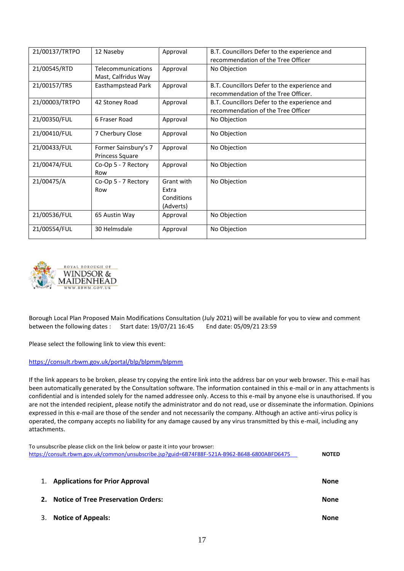| 21/00137/TRTPO | 12 Naseby                                      | Approval                                       | B.T. Councillors Defer to the experience and<br>recommendation of the Tree Officer  |
|----------------|------------------------------------------------|------------------------------------------------|-------------------------------------------------------------------------------------|
| 21/00545/RTD   | Telecommunications<br>Mast, Calfridus Way      | Approval                                       | No Objection                                                                        |
| 21/00157/TR5   | Easthampstead Park                             | Approval                                       | B.T. Councillors Defer to the experience and<br>recommendation of the Tree Officer. |
| 21/00003/TRTPO | 42 Stoney Road                                 | Approval                                       | B.T. Councillors Defer to the experience and<br>recommendation of the Tree Officer  |
| 21/00350/FUL   | 6 Fraser Road                                  | Approval                                       | No Objection                                                                        |
| 21/00410/FUL   | 7 Cherbury Close                               | Approval                                       | No Objection                                                                        |
| 21/00433/FUL   | Former Sainsbury's 7<br><b>Princess Square</b> | Approval                                       | No Objection                                                                        |
| 21/00474/FUL   | Co-Op 5 - 7 Rectory<br>Row                     | Approval                                       | No Objection                                                                        |
| 21/00475/A     | Co-Op 5 - 7 Rectory<br>Row                     | Grant with<br>Extra<br>Conditions<br>(Adverts) | No Objection                                                                        |
| 21/00536/FUL   | 65 Austin Way                                  | Approval                                       | No Objection                                                                        |
| 21/00554/FUL   | 30 Helmsdale                                   | Approval                                       | No Objection                                                                        |



Borough Local Plan Proposed Main Modifications Consultation (July 2021) will be available for you to view and comment between the following dates : Start date: 19/07/21 16:45 End date: 05/09/21 23:59

Please select the following link to view this event:

#### <https://consult.rbwm.gov.uk/portal/blp/blpmm/blpmm>

If the link appears to be broken, please try copying the entire link into the address bar on your web browser. This e-mail has been automatically generated by the Consultation software. The information contained in this e-mail or in any attachments is confidential and is intended solely for the named addressee only. Access to this e-mail by anyone else is unauthorised. If you are not the intended recipient, please notify the administrator and do not read, use or disseminate the information. Opinions expressed in this e-mail are those of the sender and not necessarily the company. Although an active anti-virus policy is operated, the company accepts no liability for any damage caused by any virus transmitted by this e-mail, including any attachments.

To unsubscribe please click on the link below or paste it into your browser: <https://consult.rbwm.gov.uk/common/unsubscribe.jsp?guid=6B74F88F-521A-B962-B648-6800ABFD6475> **NOTED**

| 1. Applications for Prior Approval     | <b>None</b> |
|----------------------------------------|-------------|
| 2. Notice of Tree Preservation Orders: | None        |
| 3. Notice of Appeals:                  | None        |